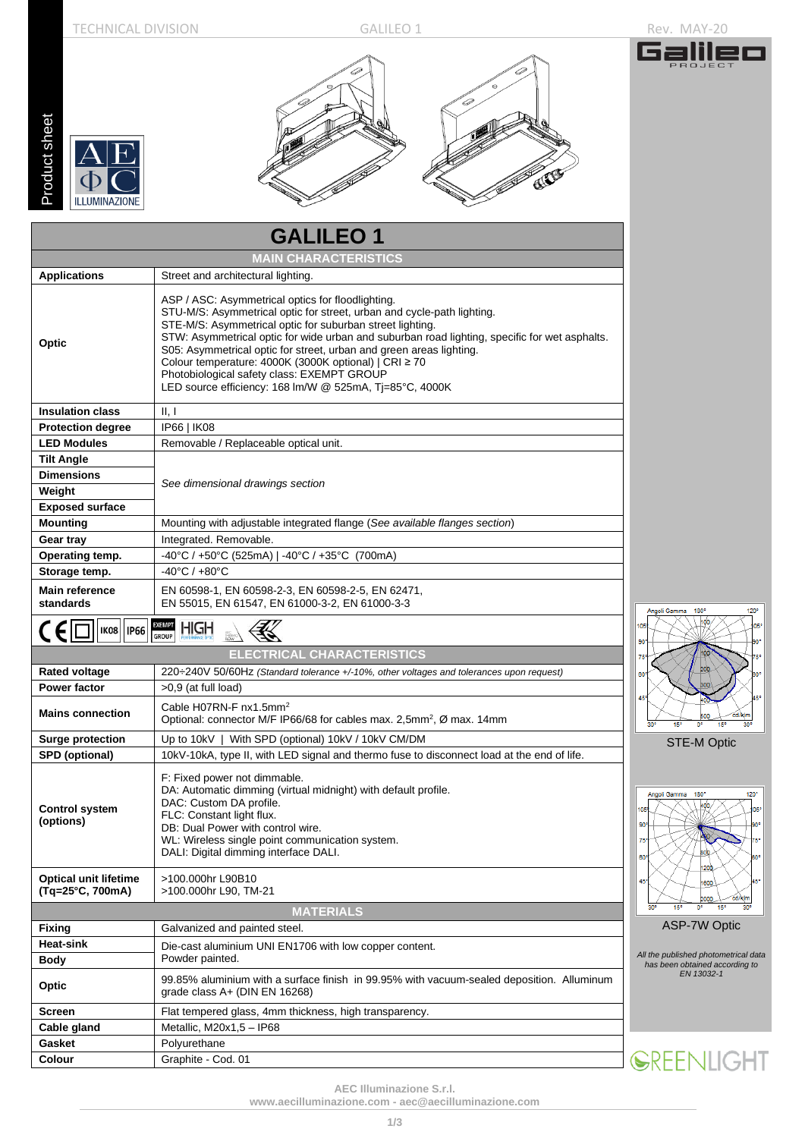oduct sheet

G



| Product sheet     | <b>ILLUMINAZIONE</b>                             | ES                                                                                                                                                                                                                                                                                                                                                                                                                                                                                                                                 |  |  |  |  |  |  |
|-------------------|--------------------------------------------------|------------------------------------------------------------------------------------------------------------------------------------------------------------------------------------------------------------------------------------------------------------------------------------------------------------------------------------------------------------------------------------------------------------------------------------------------------------------------------------------------------------------------------------|--|--|--|--|--|--|
|                   |                                                  | <b>GALILEO1</b>                                                                                                                                                                                                                                                                                                                                                                                                                                                                                                                    |  |  |  |  |  |  |
|                   |                                                  | <b>MAIN CHARACTERISTICS</b>                                                                                                                                                                                                                                                                                                                                                                                                                                                                                                        |  |  |  |  |  |  |
|                   | <b>Applications</b>                              | Street and architectural lighting.                                                                                                                                                                                                                                                                                                                                                                                                                                                                                                 |  |  |  |  |  |  |
| Optic             |                                                  | ASP / ASC: Asymmetrical optics for floodlighting.<br>STU-M/S: Asymmetrical optic for street, urban and cycle-path lighting.<br>STE-M/S: Asymmetrical optic for suburban street lighting.<br>STW: Asymmetrical optic for wide urban and suburban road lighting, specific for wet asphalts.<br>S05: Asymmetrical optic for street, urban and green areas lighting.<br>Colour temperature: 4000K (3000K optional)   CRI ≥ 70<br>Photobiological safety class: EXEMPT GROUP<br>LED source efficiency: 168 lm/W @ 525mA, Tj=85°C, 4000K |  |  |  |  |  |  |
|                   | <b>Insulation class</b>                          | II, I                                                                                                                                                                                                                                                                                                                                                                                                                                                                                                                              |  |  |  |  |  |  |
|                   | <b>Protection degree</b>                         | IP66   IK08                                                                                                                                                                                                                                                                                                                                                                                                                                                                                                                        |  |  |  |  |  |  |
|                   | <b>LED Modules</b>                               | Removable / Replaceable optical unit.                                                                                                                                                                                                                                                                                                                                                                                                                                                                                              |  |  |  |  |  |  |
| <b>Tilt Angle</b> |                                                  |                                                                                                                                                                                                                                                                                                                                                                                                                                                                                                                                    |  |  |  |  |  |  |
|                   | <b>Dimensions</b>                                | See dimensional drawings section                                                                                                                                                                                                                                                                                                                                                                                                                                                                                                   |  |  |  |  |  |  |
| Weight            |                                                  |                                                                                                                                                                                                                                                                                                                                                                                                                                                                                                                                    |  |  |  |  |  |  |
| <b>Mounting</b>   | <b>Exposed surface</b>                           | Mounting with adjustable integrated flange (See available flanges section)                                                                                                                                                                                                                                                                                                                                                                                                                                                         |  |  |  |  |  |  |
| Gear tray         |                                                  | Integrated. Removable.                                                                                                                                                                                                                                                                                                                                                                                                                                                                                                             |  |  |  |  |  |  |
|                   | Operating temp.                                  | -40°C / +50°C (525mA)   -40°C / +35°C (700mA)                                                                                                                                                                                                                                                                                                                                                                                                                                                                                      |  |  |  |  |  |  |
|                   | Storage temp.                                    | $-40^{\circ}$ C / $+80^{\circ}$ C                                                                                                                                                                                                                                                                                                                                                                                                                                                                                                  |  |  |  |  |  |  |
|                   | <b>Main reference</b>                            | EN 60598-1, EN 60598-2-3, EN 60598-2-5, EN 62471,                                                                                                                                                                                                                                                                                                                                                                                                                                                                                  |  |  |  |  |  |  |
| standards         |                                                  | EN 55015, EN 61547, EN 61000-3-2, EN 61000-3-3                                                                                                                                                                                                                                                                                                                                                                                                                                                                                     |  |  |  |  |  |  |
| <b>CEI</b>        | <b>IK08</b><br><b>IP66</b>                       | <b>EXEMPT</b><br><b>HIGH</b><br><b>GROUP</b>                                                                                                                                                                                                                                                                                                                                                                                                                                                                                       |  |  |  |  |  |  |
|                   |                                                  | <b>ELECTRICAL CHARACTERISTICS</b>                                                                                                                                                                                                                                                                                                                                                                                                                                                                                                  |  |  |  |  |  |  |
|                   | <b>Rated voltage</b>                             | 220÷240V 50/60Hz (Standard tolerance +/-10%, other voltages and tolerances upon request)                                                                                                                                                                                                                                                                                                                                                                                                                                           |  |  |  |  |  |  |
|                   | <b>Power factor</b>                              | $>0.9$ (at full load)                                                                                                                                                                                                                                                                                                                                                                                                                                                                                                              |  |  |  |  |  |  |
|                   | <b>Mains connection</b>                          | Cable H07RN-F nx1.5mm <sup>2</sup><br>Optional: connector M/F IP66/68 for cables max. 2,5mm <sup>2</sup> , Ø max. 14mm                                                                                                                                                                                                                                                                                                                                                                                                             |  |  |  |  |  |  |
|                   | <b>Surge protection</b>                          | Up to 10kV   With SPD (optional) 10kV / 10kV CM/DM                                                                                                                                                                                                                                                                                                                                                                                                                                                                                 |  |  |  |  |  |  |
|                   | <b>SPD</b> (optional)                            | 10kV-10kA, type II, with LED signal and thermo fuse to disconnect load at the end of life.                                                                                                                                                                                                                                                                                                                                                                                                                                         |  |  |  |  |  |  |
| (options)         | <b>Control system</b>                            | F: Fixed power not dimmable.<br>DA: Automatic dimming (virtual midnight) with default profile.<br>DAC: Custom DA profile.<br>FLC: Constant light flux.<br>DB: Dual Power with control wire.<br>WL: Wireless single point communication system.<br>DALI: Digital dimming interface DALI.                                                                                                                                                                                                                                            |  |  |  |  |  |  |
|                   | <b>Optical unit lifetime</b><br>(Tq=25°C, 700mA) | >100.000hr L90B10<br>>100.000hr L90, TM-21                                                                                                                                                                                                                                                                                                                                                                                                                                                                                         |  |  |  |  |  |  |
|                   |                                                  | <b>MATERIALS</b>                                                                                                                                                                                                                                                                                                                                                                                                                                                                                                                   |  |  |  |  |  |  |
| Fixing            |                                                  | Galvanized and painted steel.                                                                                                                                                                                                                                                                                                                                                                                                                                                                                                      |  |  |  |  |  |  |
| <b>Heat-sink</b>  |                                                  | Die-cast aluminium UNI EN1706 with low copper content.                                                                                                                                                                                                                                                                                                                                                                                                                                                                             |  |  |  |  |  |  |
| Body<br>Optic     |                                                  | Powder painted.<br>99.85% aluminium with a surface finish in 99.95% with vacuum-sealed deposition. Alluminum                                                                                                                                                                                                                                                                                                                                                                                                                       |  |  |  |  |  |  |
|                   |                                                  | grade class $A+$ (DIN EN 16268)                                                                                                                                                                                                                                                                                                                                                                                                                                                                                                    |  |  |  |  |  |  |
| Screen            |                                                  | Flat tempered glass, 4mm thickness, high transparency.                                                                                                                                                                                                                                                                                                                                                                                                                                                                             |  |  |  |  |  |  |
|                   | Cable gland                                      | Metallic, M20x1,5 - IP68                                                                                                                                                                                                                                                                                                                                                                                                                                                                                                           |  |  |  |  |  |  |
| Gasket<br>Colour  |                                                  | Polyurethane<br>Graphite - Cod. 01                                                                                                                                                                                                                                                                                                                                                                                                                                                                                                 |  |  |  |  |  |  |
|                   |                                                  |                                                                                                                                                                                                                                                                                                                                                                                                                                                                                                                                    |  |  |  |  |  |  |



STE-M Optic

 $\frac{1}{120^\circ}$ Angoli Gamma 180° 400 1600  $2000$ 15 ASP-7W Optic

*All the published photometrical data has been obtained according to EN 13032-1*

GREENLIGHT

**AEC Illuminazione S.r.l.** 

**[www.aecilluminazione.c](http://www.aecilluminazione./)om - [aec@aecilluminazione.com](mailto:aec@aecilluminazione.com)**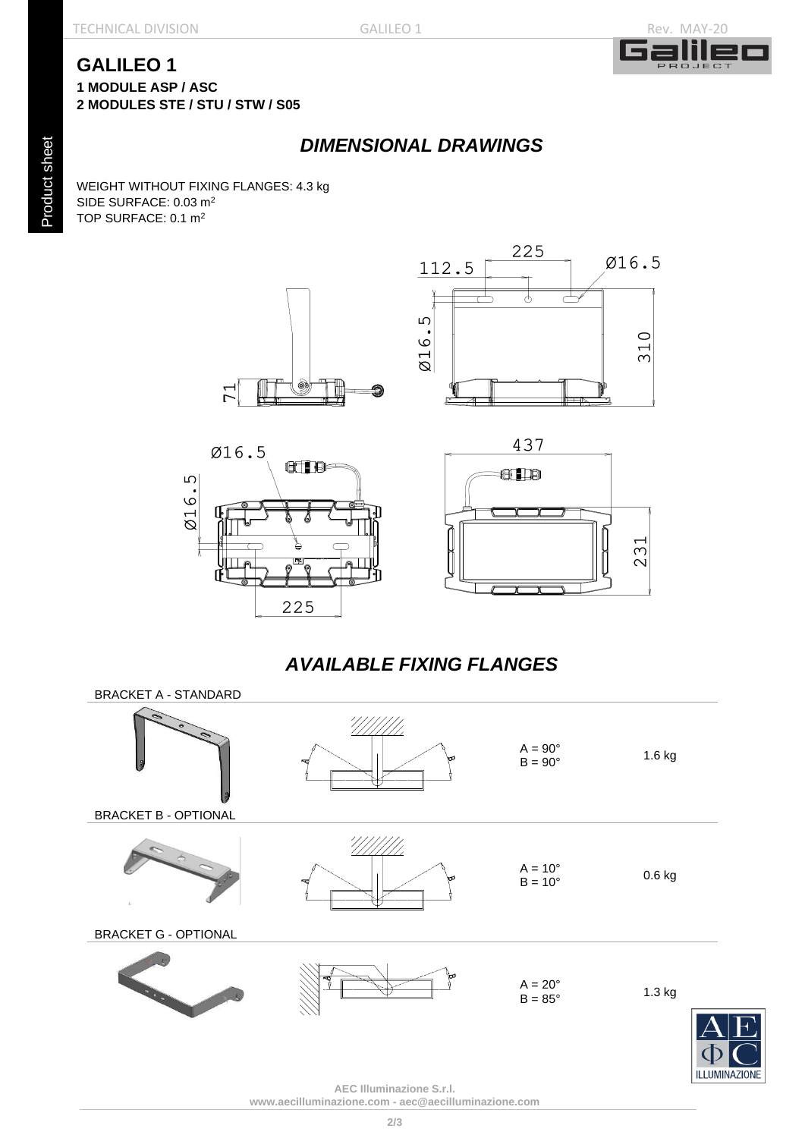#### TECHNICAL DIVISION GALILEO 1 GALILEO 1



 $310$ 

#### **GALILEO 1 1 MODULE ASP / ASC 2 MODULES STE / STU / STW / S05**

# *DIMENSIONAL DRAWINGS*

WEIGHT WITHOUT FIXING FLANGES: 4.3 kg SIDE SURFACE: 0.03 m<sup>2</sup> TOP SURFACE: 0.1 m<sup>2</sup>

 $\overline{7}$ 







# *AVAILABLE FIXING FLANGES*



**AEC Illuminazione S.r.l. [www.aecilluminazione.c](http://www.aecilluminazione./)om - [aec@aecilluminazione.com](mailto:aec@aecilluminazione.com)**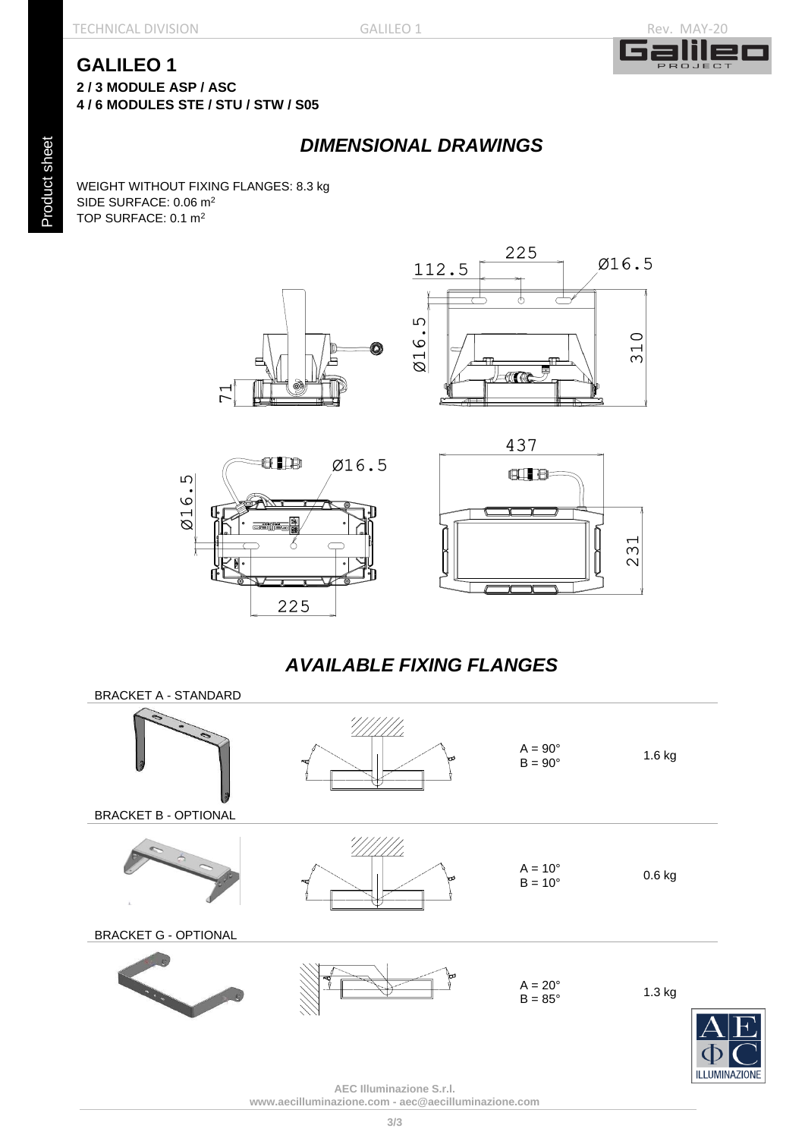TECHNICAL DIVISION GALILEO 1 GALILEO 1



#### **GALILEO 1 2 / 3 MODULE ASP / ASC**

**4 / 6 MODULES STE / STU / STW / S05**

### *DIMENSIONAL DRAWINGS*

WEIGHT WITHOUT FIXING FLANGES: 8.3 kg SIDE SURFACE: 0.06 m<sup>2</sup> TOP SURFACE: 0.1 m<sup>2</sup>









# *AVAILABLE FIXING FLANGES*



**AEC Illuminazione S.r.l. [www.aecilluminazione.c](http://www.aecilluminazione./)om - [aec@aecilluminazione.com](mailto:aec@aecilluminazione.com)**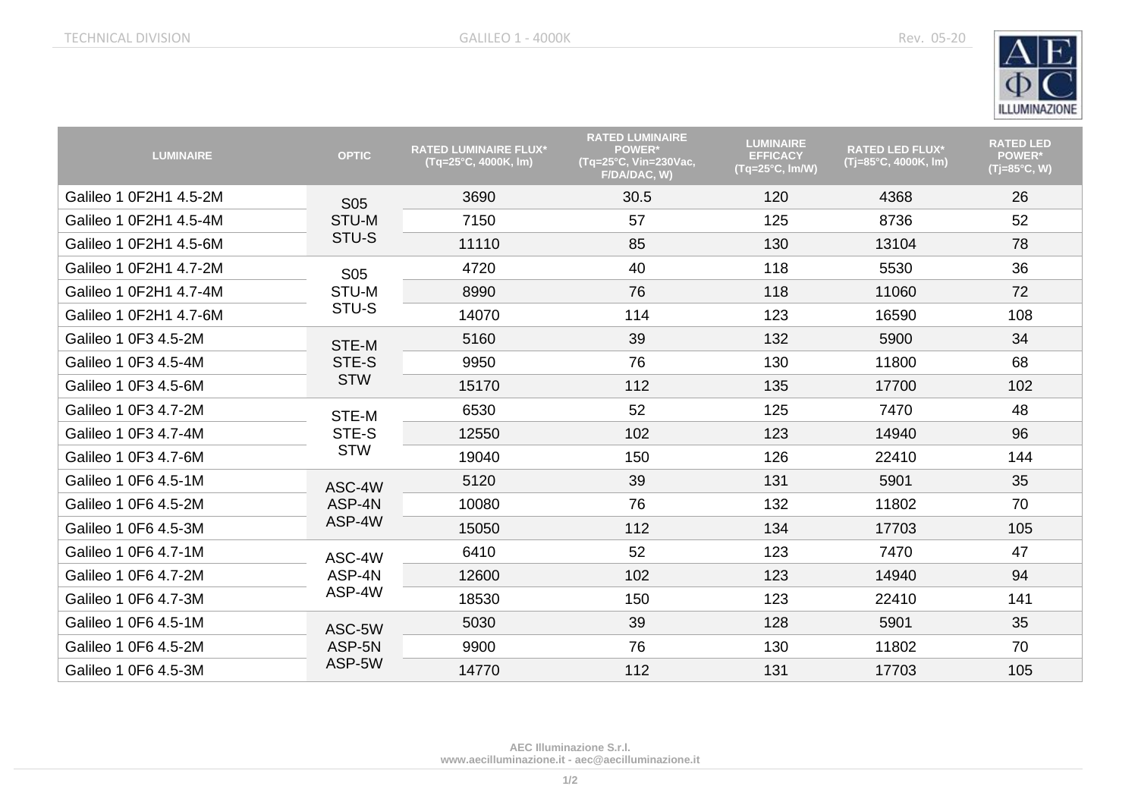

| <b>LUMINAIRE</b>       | <b>OPTIC</b>                 | <b>RATED LUMINAIRE FLUX*</b><br>(Tq=25°C, 4000K, lm) | <b>RATED LUMINAIRE</b><br>POWER*<br>(Tq=25°C, Vin=230Vac,<br>F/DA/DAC, W) | <b>LUMINAIRE</b><br><b>EFFICACY</b><br>(Tq=25°C, Im/W) | <b>RATED LED FLUX*</b><br>(Tj=85°C, 4000K, lm) | <b>RATED LED</b><br><b>POWER*</b><br>$(Tj=85^{\circ}C, W)$ |
|------------------------|------------------------------|------------------------------------------------------|---------------------------------------------------------------------------|--------------------------------------------------------|------------------------------------------------|------------------------------------------------------------|
| Galileo 1 0F2H1 4.5-2M | <b>S05</b><br>STU-M<br>STU-S | 3690                                                 | 30.5                                                                      | 120                                                    | 4368                                           | 26                                                         |
| Galileo 1 0F2H1 4.5-4M |                              | 7150                                                 | 57                                                                        | 125                                                    | 8736                                           | 52                                                         |
| Galileo 1 0F2H1 4.5-6M |                              | 11110                                                | 85                                                                        | 130                                                    | 13104                                          | 78                                                         |
| Galileo 1 0F2H1 4.7-2M | <b>S05</b>                   | 4720                                                 | 40                                                                        | 118                                                    | 5530                                           | 36                                                         |
| Galileo 1 0F2H1 4.7-4M | STU-M                        | 8990                                                 | 76                                                                        | 118                                                    | 11060                                          | 72                                                         |
| Galileo 1 0F2H1 4.7-6M | STU-S                        | 14070                                                | 114                                                                       | 123                                                    | 16590                                          | 108                                                        |
| Galileo 1 0F3 4.5-2M   | STE-M                        | 5160                                                 | 39                                                                        | 132                                                    | 5900                                           | 34                                                         |
| Galileo 1 0F3 4.5-4M   | STE-S<br><b>STW</b>          | 9950                                                 | 76                                                                        | 130                                                    | 11800                                          | 68                                                         |
| Galileo 1 0F3 4.5-6M   |                              | 15170                                                | 112                                                                       | 135                                                    | 17700                                          | 102                                                        |
| Galileo 1 0F3 4.7-2M   | STE-M                        | 6530                                                 | 52                                                                        | 125                                                    | 7470                                           | 48                                                         |
| Galileo 1 0F3 4.7-4M   | STE-S                        | 12550                                                | 102                                                                       | 123                                                    | 14940                                          | 96                                                         |
| Galileo 1 0F3 4.7-6M   | <b>STW</b>                   | 19040                                                | 150                                                                       | 126                                                    | 22410                                          | 144                                                        |
| Galileo 1 0F6 4.5-1M   | ASC-4W                       | 5120                                                 | 39                                                                        | 131                                                    | 5901                                           | 35                                                         |
| Galileo 1 0F6 4.5-2M   | ASP-4N<br>ASP-4W             | 10080                                                | 76                                                                        | 132                                                    | 11802                                          | 70                                                         |
| Galileo 1 0F6 4.5-3M   |                              | 15050                                                | 112                                                                       | 134                                                    | 17703                                          | 105                                                        |
| Galileo 1 0F6 4.7-1M   | ASC-4W<br>ASP-4N<br>ASP-4W   | 6410                                                 | 52                                                                        | 123                                                    | 7470                                           | 47                                                         |
| Galileo 1 0F6 4.7-2M   |                              | 12600                                                | 102                                                                       | 123                                                    | 14940                                          | 94                                                         |
| Galileo 1 0F6 4.7-3M   |                              | 18530                                                | 150                                                                       | 123                                                    | 22410                                          | 141                                                        |
| Galileo 1 0F6 4.5-1M   | ASC-5W                       | 5030                                                 | 39                                                                        | 128                                                    | 5901                                           | 35                                                         |
| Galileo 1 0F6 4.5-2M   | ASP-5N                       | 9900                                                 | 76                                                                        | 130                                                    | 11802                                          | 70                                                         |
| Galileo 1 0F6 4.5-3M   | ASP-5W                       | 14770                                                | 112                                                                       | 131                                                    | 17703                                          | 105                                                        |

**AEC Illuminazione S.r.l. [www.aecilluminazione.it](http://www.aecilluminazione.it/) - [aec@aecilluminazione.it](mailto:aec@aecilluminazione.it)**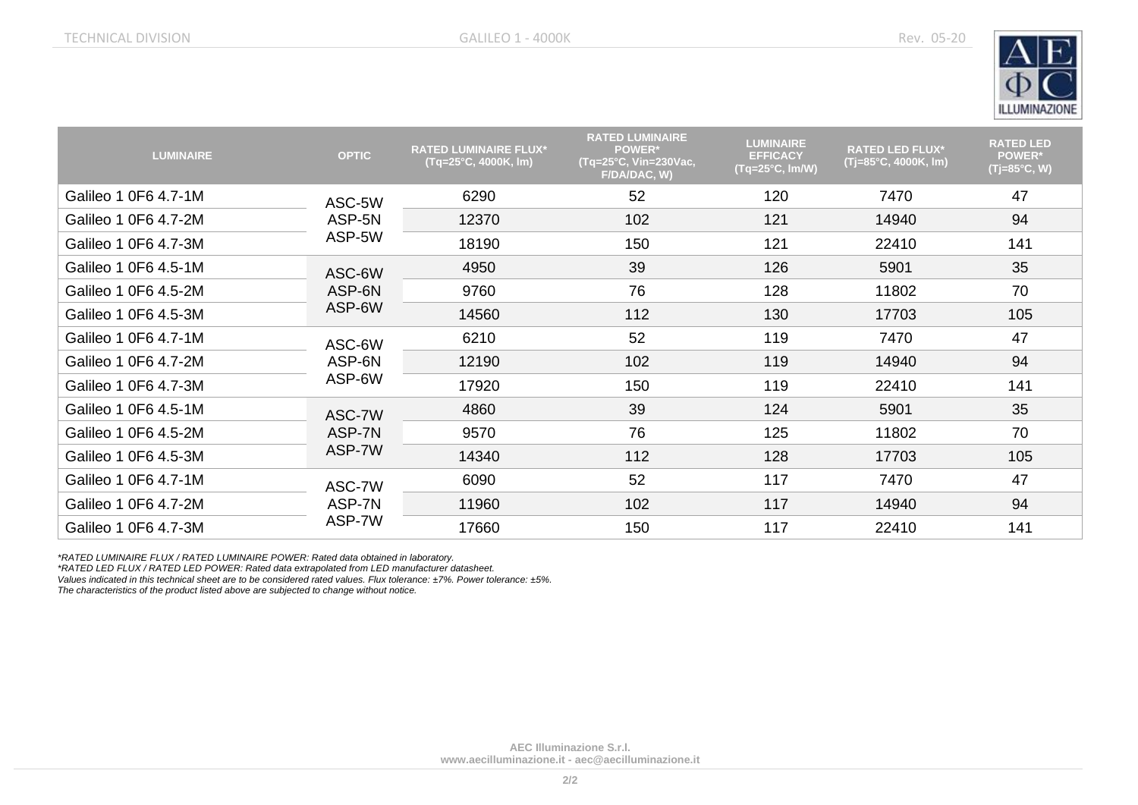

| <b>LUMINAIRE</b>     | <b>OPTIC</b>               | <b>RATED LUMINAIRE FLUX*</b><br>(Tq=25°C, 4000K, lm) | <b>RATED LUMINAIRE</b><br><b>POWER*</b><br>(Tq=25°C, Vin=230Vac,<br>F/DA/DAC, W) | <b>LUMINAIRE</b><br><b>EFFICACY</b><br>$(Tq=25^{\circ}C, Im/W)$ | <b>RATED LED FLUX*</b><br>(Tj=85°C, 4000K, lm) | <b>RATED LED</b><br><b>POWER*</b><br>$(Tj=85^{\circ}C, W)$ |
|----------------------|----------------------------|------------------------------------------------------|----------------------------------------------------------------------------------|-----------------------------------------------------------------|------------------------------------------------|------------------------------------------------------------|
| Galileo 1 0F6 4.7-1M | ASC-5W<br>ASP-5N<br>ASP-5W | 6290                                                 | 52                                                                               | 120                                                             | 7470                                           | 47                                                         |
| Galileo 1 0F6 4.7-2M |                            | 12370                                                | 102                                                                              | 121                                                             | 14940                                          | 94                                                         |
| Galileo 1 0F6 4.7-3M |                            | 18190                                                | 150                                                                              | 121                                                             | 22410                                          | 141                                                        |
| Galileo 1 0F6 4.5-1M | ASC-6W<br>ASP-6N<br>ASP-6W | 4950                                                 | 39                                                                               | 126                                                             | 5901                                           | 35                                                         |
| Galileo 1 0F6 4.5-2M |                            | 9760                                                 | 76                                                                               | 128                                                             | 11802                                          | 70                                                         |
| Galileo 1 0F6 4.5-3M |                            | 14560                                                | 112                                                                              | 130                                                             | 17703                                          | 105                                                        |
| Galileo 1 0F6 4.7-1M | ASC-6W                     | 6210                                                 | 52                                                                               | 119                                                             | 7470                                           | 47                                                         |
| Galileo 1 0F6 4.7-2M | ASP-6N<br>ASP-6W           | 12190                                                | 102                                                                              | 119                                                             | 14940                                          | 94                                                         |
| Galileo 1 0F6 4.7-3M |                            | 17920                                                | 150                                                                              | 119                                                             | 22410                                          | 141                                                        |
| Galileo 1 0F6 4.5-1M | ASC-7W<br>ASP-7N<br>ASP-7W | 4860                                                 | 39                                                                               | 124                                                             | 5901                                           | 35                                                         |
| Galileo 1 0F6 4.5-2M |                            | 9570                                                 | 76                                                                               | 125                                                             | 11802                                          | 70                                                         |
| Galileo 1 0F6 4.5-3M |                            | 14340                                                | 112                                                                              | 128                                                             | 17703                                          | 105                                                        |
| Galileo 1 0F6 4.7-1M | ASC-7W<br>ASP-7N<br>ASP-7W | 6090                                                 | 52                                                                               | 117                                                             | 7470                                           | 47                                                         |
| Galileo 1 0F6 4.7-2M |                            | 11960                                                | 102                                                                              | 117                                                             | 14940                                          | 94                                                         |
| Galileo 1 0F6 4.7-3M |                            | 17660                                                | 150                                                                              | 117                                                             | 22410                                          | 141                                                        |

*\*RATED LUMINAIRE FLUX / RATED LUMINAIRE POWER: Rated data obtained in laboratory.*

*\*RATED LED FLUX / RATED LED POWER: Rated data extrapolated from LED manufacturer datasheet.*

*Values indicated in this technical sheet are to be considered rated values. Flux tolerance: ±7%. Power tolerance: ±5%.*

*The characteristics of the product listed above are subjected to change without notice.*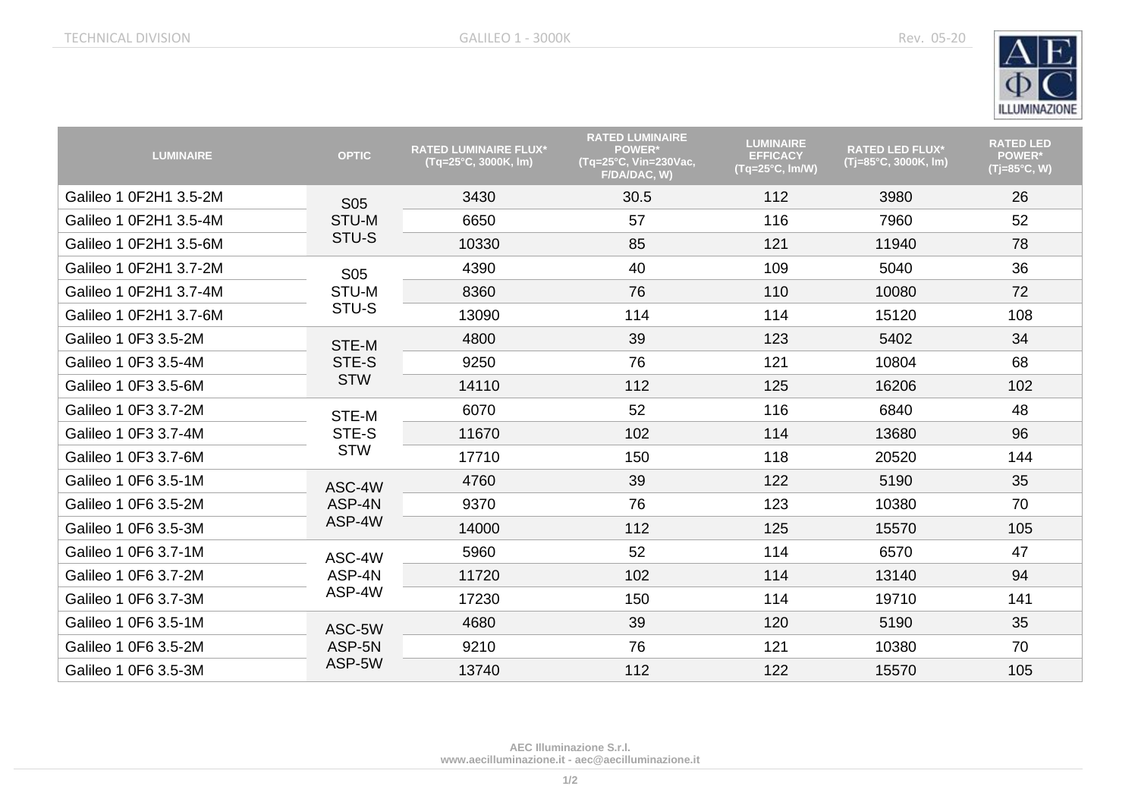

| <b>LUMINAIRE</b>       | <b>OPTIC</b>                 | <b>RATED LUMINAIRE FLUX*</b><br>(Tq=25°C, 3000K, lm) | <b>RATED LUMINAIRE</b><br><b>POWER*</b><br>$\sqrt{(Tq=25^{\circ}C, Vin=230Vac)}$<br>F/DA/DAC, W) | <b>LUMINAIRE</b><br><b>EFFICACY</b><br>(Tq=25°C, Im/W) | <b>RATED LED FLUX*</b><br>(Tj=85°C, 3000K, lm) | <b>RATED LED</b><br><b>POWER*</b><br>(Tj=85°C, W) |
|------------------------|------------------------------|------------------------------------------------------|--------------------------------------------------------------------------------------------------|--------------------------------------------------------|------------------------------------------------|---------------------------------------------------|
| Galileo 1 0F2H1 3.5-2M | <b>S05</b><br>STU-M<br>STU-S | 3430                                                 | 30.5                                                                                             | 112                                                    | 3980                                           | 26                                                |
| Galileo 1 0F2H1 3.5-4M |                              | 6650                                                 | 57                                                                                               | 116                                                    | 7960                                           | 52                                                |
| Galileo 1 0F2H1 3.5-6M |                              | 10330                                                | 85                                                                                               | 121                                                    | 11940                                          | 78                                                |
| Galileo 1 0F2H1 3.7-2M | <b>S05</b>                   | 4390                                                 | 40                                                                                               | 109                                                    | 5040                                           | 36                                                |
| Galileo 1 0F2H1 3.7-4M | STU-M                        | 8360                                                 | 76                                                                                               | 110                                                    | 10080                                          | 72                                                |
| Galileo 1 0F2H1 3.7-6M | STU-S                        | 13090                                                | 114                                                                                              | 114                                                    | 15120                                          | 108                                               |
| Galileo 1 0F3 3.5-2M   | STE-M<br>STE-S<br><b>STW</b> | 4800                                                 | 39                                                                                               | 123                                                    | 5402                                           | 34                                                |
| Galileo 1 0F3 3.5-4M   |                              | 9250                                                 | 76                                                                                               | 121                                                    | 10804                                          | 68                                                |
| Galileo 1 0F3 3.5-6M   |                              | 14110                                                | 112                                                                                              | 125                                                    | 16206                                          | 102                                               |
| Galileo 1 0F3 3.7-2M   | STE-M<br>STE-S               | 6070                                                 | 52                                                                                               | 116                                                    | 6840                                           | 48                                                |
| Galileo 1 0F3 3.7-4M   |                              | 11670                                                | 102                                                                                              | 114                                                    | 13680                                          | 96                                                |
| Galileo 1 0F3 3.7-6M   | <b>STW</b>                   | 17710                                                | 150                                                                                              | 118                                                    | 20520                                          | 144                                               |
| Galileo 1 0F6 3.5-1M   | ASC-4W                       | 4760                                                 | 39                                                                                               | 122                                                    | 5190                                           | 35                                                |
| Galileo 1 0F6 3.5-2M   | ASP-4N<br>ASP-4W             | 9370                                                 | 76                                                                                               | 123                                                    | 10380                                          | 70                                                |
| Galileo 1 0F6 3.5-3M   |                              | 14000                                                | 112                                                                                              | 125                                                    | 15570                                          | 105                                               |
| Galileo 1 0F6 3.7-1M   | ASC-4W<br>ASP-4N<br>ASP-4W   | 5960                                                 | 52                                                                                               | 114                                                    | 6570                                           | 47                                                |
| Galileo 1 0F6 3.7-2M   |                              | 11720                                                | 102                                                                                              | 114                                                    | 13140                                          | 94                                                |
| Galileo 1 0F6 3.7-3M   |                              | 17230                                                | 150                                                                                              | 114                                                    | 19710                                          | 141                                               |
| Galileo 1 0F6 3.5-1M   | ASC-5W<br>ASP-5N<br>ASP-5W   | 4680                                                 | 39                                                                                               | 120                                                    | 5190                                           | 35                                                |
| Galileo 1 0F6 3.5-2M   |                              | 9210                                                 | 76                                                                                               | 121                                                    | 10380                                          | 70                                                |
| Galileo 1 0F6 3.5-3M   |                              | 13740                                                | 112                                                                                              | 122                                                    | 15570                                          | 105                                               |

**AEC Illuminazione S.r.l. [www.aecilluminazione.it](http://www.aecilluminazione.it/) - [aec@aecilluminazione.it](mailto:aec@aecilluminazione.it)**